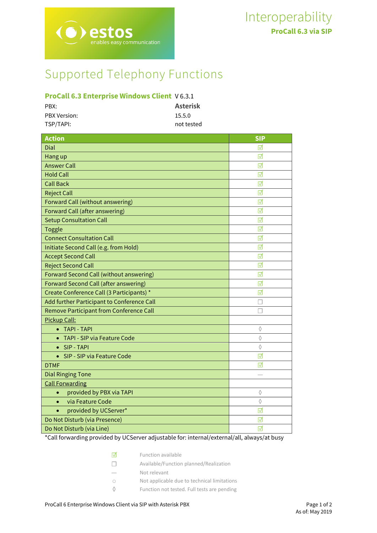# Supported Telephony Functions

 $\mathbf S$ ables easy communication

## **ProCall 6.3 Enterprise Windows Client** V 6.3.1

| PBX:                | <b>Asterisk</b> |
|---------------------|-----------------|
| <b>PBX Version:</b> | 15.5.0          |
| TSP/TAPI:           | not tested      |

| <b>Action</b>                              | <b>SIP</b>              |
|--------------------------------------------|-------------------------|
| Dial                                       | ℿ                       |
| Hang up                                    | ⊽                       |
| <b>Answer Call</b>                         | ☑                       |
| <b>Hold Call</b>                           | ⊽                       |
| <b>Call Back</b>                           | ☑                       |
| <b>Reject Call</b>                         | ⊽                       |
| Forward Call (without answering)           | ☑                       |
| Forward Call (after answering)             | ⊽                       |
| <b>Setup Consultation Call</b>             | ☑                       |
| <b>Toggle</b>                              | ⊽                       |
| <b>Connect Consultation Call</b>           | ☑                       |
| Initiate Second Call (e.g. from Hold)      | ⊽                       |
| <b>Accept Second Call</b>                  | ☑                       |
| <b>Reject Second Call</b>                  | ☑                       |
| Forward Second Call (without answering)    | ⊽                       |
| Forward Second Call (after answering)      | ⊽                       |
| Create Conference Call (3 Participants) *  | ⊽                       |
| Add further Participant to Conference Call |                         |
| Remove Participant from Conference Call    | П                       |
| Pickup Call:                               |                         |
| <b>TAPI - TAPI</b><br>$\bullet$            | ♦                       |
| TAPI - SIP via Feature Code<br>$\bullet$   | ♦                       |
| SIP - TAPI<br>$\bullet$                    | ♦                       |
| SIP - SIP via Feature Code<br>$\bullet$    | ⊺                       |
| <b>DTMF</b>                                | ☑                       |
| <b>Dial Ringing Tone</b>                   |                         |
| <b>Call Forwarding</b>                     |                         |
| provided by PBX via TAPI<br>$\bullet$      | ♦                       |
| via Feature Code<br>$\bullet$              | ♦                       |
| provided by UCServer*<br>$\bullet$         | $\overline{\mathsf{M}}$ |
| Do Not Disturb (via Presence)              | ⊽                       |
| Do Not Disturb (via Line)                  | ☑                       |
|                                            |                         |

\*Call forwarding provided by UCServer adjustable for: internal/external/all, always/at busy

| $\triangledown$ | Function available                          |
|-----------------|---------------------------------------------|
| $\mathbf{1}$    | Available/Function planned/Realization      |
|                 | Not relevant                                |
| $\bigcirc$      | Not applicable due to technical limitations |
|                 | Function not tested. Full tests are pending |